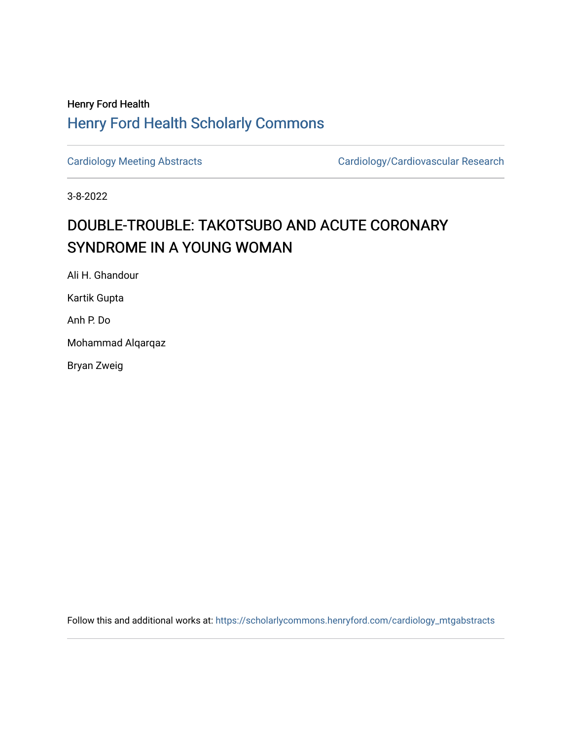## Henry Ford Health [Henry Ford Health Scholarly Commons](https://scholarlycommons.henryford.com/)

[Cardiology Meeting Abstracts](https://scholarlycommons.henryford.com/cardiology_mtgabstracts) [Cardiology/Cardiovascular Research](https://scholarlycommons.henryford.com/cardiology) 

3-8-2022

## DOUBLE-TROUBLE: TAKOTSUBO AND ACUTE CORONARY SYNDROME IN A YOUNG WOMAN

Ali H. Ghandour

Kartik Gupta

Anh P. Do

Mohammad Alqarqaz

Bryan Zweig

Follow this and additional works at: [https://scholarlycommons.henryford.com/cardiology\\_mtgabstracts](https://scholarlycommons.henryford.com/cardiology_mtgabstracts?utm_source=scholarlycommons.henryford.com%2Fcardiology_mtgabstracts%2F338&utm_medium=PDF&utm_campaign=PDFCoverPages)